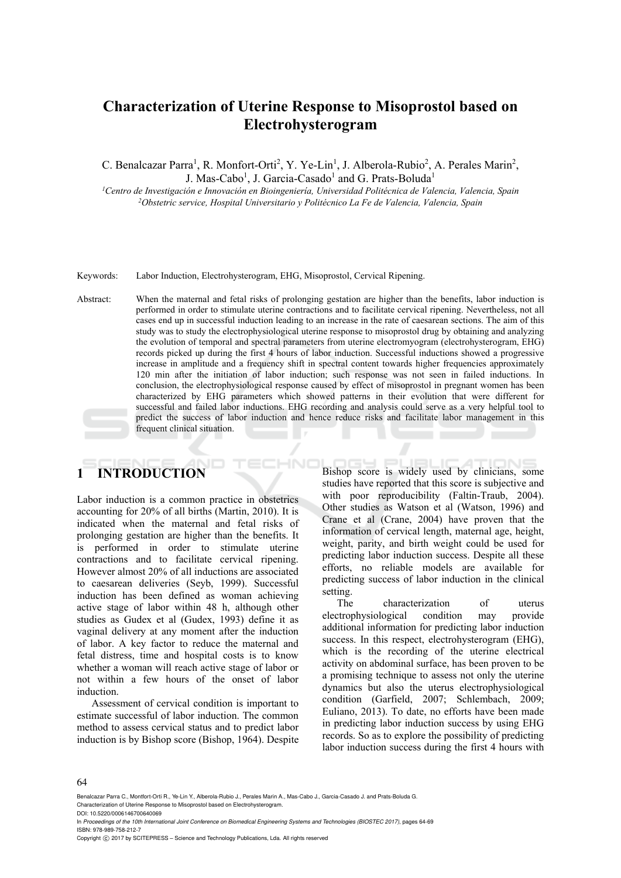# **Characterization of Uterine Response to Misoprostol based on Electrohysterogram**

C. Benalcazar Parra<sup>1</sup>, R. Monfort-Orti<sup>2</sup>, Y. Ye-Lin<sup>1</sup>, J. Alberola-Rubio<sup>2</sup>, A. Perales Marin<sup>2</sup>, J. Mas-Cabo<sup>1</sup>, J. Garcia-Casado<sup>1</sup> and G. Prats-Boluda<sup>1</sup>

*1Centro de Investigación e Innovación en Bioingeniería, Universidad Politécnica de Valencia, Valencia, Spain 2Obstetric service, Hospital Universitario y Politécnico La Fe de Valencia, Valencia, Spain* 

Keywords: Labor Induction, Electrohysterogram, EHG, Misoprostol, Cervical Ripening.

Abstract: When the maternal and fetal risks of prolonging gestation are higher than the benefits, labor induction is performed in order to stimulate uterine contractions and to facilitate cervical ripening. Nevertheless, not all cases end up in successful induction leading to an increase in the rate of caesarean sections. The aim of this study was to study the electrophysiological uterine response to misoprostol drug by obtaining and analyzing the evolution of temporal and spectral parameters from uterine electromyogram (electrohysterogram, EHG) records picked up during the first 4 hours of labor induction. Successful inductions showed a progressive increase in amplitude and a frequency shift in spectral content towards higher frequencies approximately 120 min after the initiation of labor induction; such response was not seen in failed inductions. In conclusion, the electrophysiological response caused by effect of misoprostol in pregnant women has been characterized by EHG parameters which showed patterns in their evolution that were different for successful and failed labor inductions. EHG recording and analysis could serve as a very helpful tool to predict the success of labor induction and hence reduce risks and facilitate labor management in this frequent clinical situation.

–IN

# **1 INTRODUCTION**

Labor induction is a common practice in obstetrics accounting for 20% of all births (Martin, 2010). It is indicated when the maternal and fetal risks of prolonging gestation are higher than the benefits. It is performed in order to stimulate uterine contractions and to facilitate cervical ripening. However almost 20% of all inductions are associated to caesarean deliveries (Seyb, 1999). Successful induction has been defined as woman achieving active stage of labor within 48 h, although other studies as Gudex et al (Gudex, 1993) define it as vaginal delivery at any moment after the induction of labor. A key factor to reduce the maternal and fetal distress, time and hospital costs is to know whether a woman will reach active stage of labor or not within a few hours of the onset of labor induction.

Assessment of cervical condition is important to estimate successful of labor induction. The common method to assess cervical status and to predict labor induction is by Bishop score (Bishop, 1964). Despite Bishop score is widely used by clinicians, some studies have reported that this score is subjective and with poor reproducibility (Faltin-Traub, 2004). Other studies as Watson et al (Watson, 1996) and Crane et al (Crane, 2004) have proven that the information of cervical length, maternal age, height, weight, parity, and birth weight could be used for predicting labor induction success. Despite all these efforts, no reliable models are available for predicting success of labor induction in the clinical setting.

The characterization of uterus electrophysiological condition may provide additional information for predicting labor induction success. In this respect, electrohysterogram (EHG), which is the recording of the uterine electrical activity on abdominal surface, has been proven to be a promising technique to assess not only the uterine dynamics but also the uterus electrophysiological condition (Garfield, 2007; Schlembach, 2009; Euliano, 2013). To date, no efforts have been made in predicting labor induction success by using EHG records. So as to explore the possibility of predicting labor induction success during the first 4 hours with

#### 64

Benalcazar Parra C., Montfort-Orti R., Ye-Lin Y., Alberola-Rubio J., Perales Marin A., Mas-Cabo J., Garcia-Casado J. and Prats-Boluda G. Characterization of Uterine Response to Misoprostol based on Electrohysterogram.

DOI: 10.5220/0006146700640069

In *Proceedings of the 10th International Joint Conference on Biomedical Engineering Systems and Technologies (BIOSTEC 2017)*, pages 64-69 ISBN: 978-989-758-212-7

Copyright (C) 2017 by SCITEPRESS - Science and Technology Publications, Lda. All rights reserved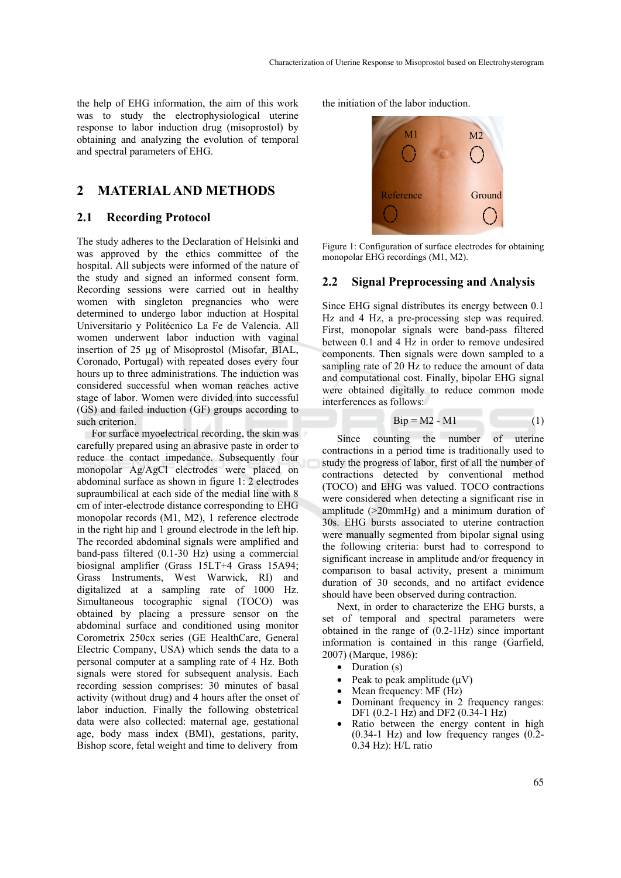the help of EHG information, the aim of this work was to study the electrophysiological uterine response to labor induction drug (misoprostol) by obtaining and analyzing the evolution of temporal and spectral parameters of EHG.

## **2 MATERIAL AND METHODS**

### **2.1 Recording Protocol**

The study adheres to the Declaration of Helsinki and was approved by the ethics committee of the hospital. All subjects were informed of the nature of the study and signed an informed consent form. Recording sessions were carried out in healthy women with singleton pregnancies who were determined to undergo labor induction at Hospital Universitario y Politécnico La Fe de Valencia. All women underwent labor induction with vaginal insertion of 25 µg of Misoprostol (Misofar, BIAL, Coronado, Portugal) with repeated doses every four hours up to three administrations. The induction was considered successful when woman reaches active stage of labor. Women were divided into successful (GS) and failed induction (GF) groups according to such criterion.

For surface myoelectrical recording, the skin was carefully prepared using an abrasive paste in order to reduce the contact impedance. Subsequently four monopolar Ag/AgCl electrodes were placed on abdominal surface as shown in figure 1: 2 electrodes supraumbilical at each side of the medial line with 8 cm of inter-electrode distance corresponding to EHG monopolar records (M1, M2), 1 reference electrode in the right hip and 1 ground electrode in the left hip. The recorded abdominal signals were amplified and band-pass filtered (0.1-30 Hz) using a commercial biosignal amplifier (Grass 15LT+4 Grass 15A94; Grass Instruments, West Warwick, RI) and digitalized at a sampling rate of 1000 Hz. Simultaneous tocographic signal (TOCO) was obtained by placing a pressure sensor on the abdominal surface and conditioned using monitor Corometrix 250cx series (GE HealthCare, General Electric Company, USA) which sends the data to a personal computer at a sampling rate of 4 Hz. Both signals were stored for subsequent analysis. Each recording session comprises: 30 minutes of basal activity (without drug) and 4 hours after the onset of labor induction. Finally the following obstetrical data were also collected: maternal age, gestational age, body mass index (BMI), gestations, parity, Bishop score, fetal weight and time to delivery from

the initiation of the labor induction.



Figure 1: Configuration of surface electrodes for obtaining monopolar EHG recordings (M1, M2).

#### **2.2 Signal Preprocessing and Analysis**

Since EHG signal distributes its energy between 0.1 Hz and 4 Hz, a pre-processing step was required. First, monopolar signals were band-pass filtered between 0.1 and 4 Hz in order to remove undesired components. Then signals were down sampled to a sampling rate of 20 Hz to reduce the amount of data and computational cost. Finally, bipolar EHG signal were obtained digitally to reduce common mode interferences as follows:

$$
Bip = M2 - M1 \tag{1}
$$

Since counting the number of uterine contractions in a period time is traditionally used to study the progress of labor, first of all the number of contractions detected by conventional method (TOCO) and EHG was valued. TOCO contractions were considered when detecting a significant rise in amplitude  $(>20$ mmHg) and a minimum duration of 30s. EHG bursts associated to uterine contraction were manually segmented from bipolar signal using the following criteria: burst had to correspond to significant increase in amplitude and/or frequency in comparison to basal activity, present a minimum duration of 30 seconds, and no artifact evidence should have been observed during contraction.

Next, in order to characterize the EHG bursts, a set of temporal and spectral parameters were obtained in the range of (0.2-1Hz) since important information is contained in this range (Garfield, 2007) (Marque, 1986):

- Duration (s)
- Peak to peak amplitude  $(\mu V)$
- Mean frequency: MF (Hz)
- Dominant frequency in 2 frequency ranges: DF1 (0.2-1 Hz) and DF2 (0.34-1 Hz)
- Ratio between the energy content in high (0.34-1 Hz) and low frequency ranges (0.2- 0.34 Hz): H/L ratio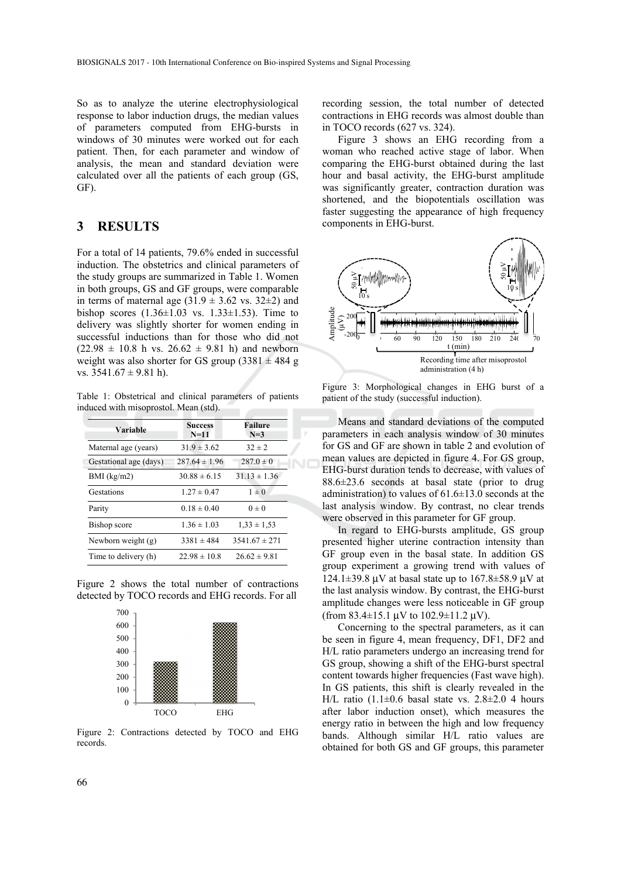So as to analyze the uterine electrophysiological response to labor induction drugs, the median values of parameters computed from EHG-bursts in windows of 30 minutes were worked out for each patient. Then, for each parameter and window of analysis, the mean and standard deviation were calculated over all the patients of each group (GS, GF).

# **3 RESULTS**

For a total of 14 patients, 79.6% ended in successful induction. The obstetrics and clinical parameters of the study groups are summarized in Table 1. Women in both groups, GS and GF groups, were comparable in terms of maternal age  $(31.9 \pm 3.62 \text{ vs. } 32 \pm 2)$  and bishop scores  $(1.36 \pm 1.03 \text{ vs. } 1.33 \pm 1.53)$ . Time to delivery was slightly shorter for women ending in successful inductions than for those who did not  $(22.98 \pm 10.8 \text{ h vs. } 26.62 \pm 9.81 \text{ h})$  and newborn weight was also shorter for GS group  $(3381 \pm 484$  g vs.  $3541.67 \pm 9.81$  h).

Table 1: Obstetrical and clinical parameters of patients induced with misoprostol. Mean (std).

| Variable               | <b>Success</b><br>$N=11$ | Failure<br>$N=3$  |  |  |
|------------------------|--------------------------|-------------------|--|--|
| Maternal age (years)   | $31.9 \pm 3.62$          | $32 \pm 2$        |  |  |
| Gestational age (days) | $287.64 \pm 1.96$        | $287.0 \pm 0$     |  |  |
| $BMI$ (kg/m2)          | $30.88 \pm 6.15$         | $31.13 \pm 1.36$  |  |  |
| Gestations             | $1.27 \pm 0.47$          | $1 \pm 0$         |  |  |
| Parity                 | $0.18 \pm 0.40$          | $0 \pm 0$         |  |  |
| Bishop score           | $1.36 \pm 1.03$          | $1,33 \pm 1,53$   |  |  |
| Newborn weight (g)     | $3381 \pm 484$           | $3541.67 \pm 271$ |  |  |
| Time to delivery (h)   | $22.98 \pm 10.8$         | $26.62 \pm 9.81$  |  |  |

Figure 2 shows the total number of contractions detected by TOCO records and EHG records. For all



Figure 2: Contractions detected by TOCO and EHG records.

recording session, the total number of detected contractions in EHG records was almost double than in TOCO records (627 vs. 324).

Figure 3 shows an EHG recording from a woman who reached active stage of labor. When comparing the EHG-burst obtained during the last hour and basal activity, the EHG-burst amplitude was significantly greater, contraction duration was shortened, and the biopotentials oscillation was faster suggesting the appearance of high frequency components in EHG-burst.



Figure 3: Morphological changes in EHG burst of a patient of the study (successful induction).

Means and standard deviations of the computed parameters in each analysis window of 30 minutes for GS and GF are shown in table 2 and evolution of mean values are depicted in figure 4. For GS group, EHG-burst duration tends to decrease, with values of 88.6±23.6 seconds at basal state (prior to drug administration) to values of  $61.6 \pm 13.0$  seconds at the last analysis window. By contrast, no clear trends were observed in this parameter for GF group.

In regard to EHG-bursts amplitude, GS group presented higher uterine contraction intensity than GF group even in the basal state. In addition GS group experiment a growing trend with values of  $124.1\pm39.8$  uV at basal state up to  $167.8\pm58.9$  uV at the last analysis window. By contrast, the EHG-burst amplitude changes were less noticeable in GF group (from 83.4 $\pm$ 15.1 μV to 102.9 $\pm$ 11.2 μV).

Concerning to the spectral parameters, as it can be seen in figure 4, mean frequency, DF1, DF2 and H/L ratio parameters undergo an increasing trend for GS group, showing a shift of the EHG-burst spectral content towards higher frequencies (Fast wave high). In GS patients, this shift is clearly revealed in the H/L ratio  $(1.1\pm0.6$  basal state vs.  $2.8\pm2.0$  4 hours after labor induction onset), which measures the energy ratio in between the high and low frequency bands. Although similar H/L ratio values are obtained for both GS and GF groups, this parameter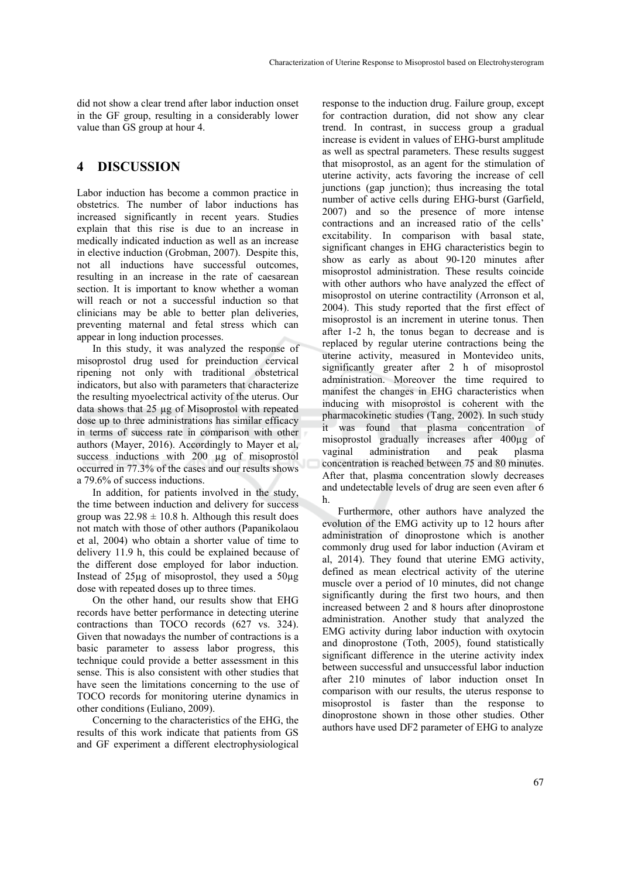did not show a clear trend after labor induction onset in the GF group, resulting in a considerably lower value than GS group at hour 4.

# **4 DISCUSSION**

Labor induction has become a common practice in obstetrics. The number of labor inductions has increased significantly in recent years. Studies explain that this rise is due to an increase in medically indicated induction as well as an increase in elective induction (Grobman, 2007). Despite this, not all inductions have successful outcomes, resulting in an increase in the rate of caesarean section. It is important to know whether a woman will reach or not a successful induction so that clinicians may be able to better plan deliveries, preventing maternal and fetal stress which can appear in long induction processes.

In this study, it was analyzed the response of misoprostol drug used for preinduction cervical ripening not only with traditional obstetrical indicators, but also with parameters that characterize the resulting myoelectrical activity of the uterus. Our data shows that 25 µg of Misoprostol with repeated dose up to three administrations has similar efficacy in terms of success rate in comparison with other authors (Mayer, 2016). Accordingly to Mayer et al, success inductions with 200 µg of misoprostol occurred in 77.3% of the cases and our results shows a 79.6% of success inductions.

In addition, for patients involved in the study, the time between induction and delivery for success group was  $22.98 \pm 10.8$  h. Although this result does not match with those of other authors (Papanikolaou et al, 2004) who obtain a shorter value of time to delivery 11.9 h, this could be explained because of the different dose employed for labor induction. Instead of 25µg of misoprostol, they used a 50µg dose with repeated doses up to three times.

On the other hand, our results show that EHG records have better performance in detecting uterine contractions than TOCO records (627 vs. 324). Given that nowadays the number of contractions is a basic parameter to assess labor progress, this technique could provide a better assessment in this sense. This is also consistent with other studies that have seen the limitations concerning to the use of TOCO records for monitoring uterine dynamics in other conditions (Euliano, 2009).

Concerning to the characteristics of the EHG, the results of this work indicate that patients from GS and GF experiment a different electrophysiological

response to the induction drug. Failure group, except for contraction duration, did not show any clear trend. In contrast, in success group a gradual increase is evident in values of EHG-burst amplitude as well as spectral parameters. These results suggest that misoprostol, as an agent for the stimulation of uterine activity, acts favoring the increase of cell junctions (gap junction); thus increasing the total number of active cells during EHG-burst (Garfield, 2007) and so the presence of more intense contractions and an increased ratio of the cells' excitability. In comparison with basal state, significant changes in EHG characteristics begin to show as early as about 90-120 minutes after misoprostol administration. These results coincide with other authors who have analyzed the effect of misoprostol on uterine contractility (Arronson et al, 2004). This study reported that the first effect of misoprostol is an increment in uterine tonus. Then after 1-2 h, the tonus began to decrease and is replaced by regular uterine contractions being the uterine activity, measured in Montevideo units, significantly greater after 2 h of misoprostol administration. Moreover the time required to manifest the changes in EHG characteristics when inducing with misoprostol is coherent with the pharmacokinetic studies (Tang, 2002). In such study it was found that plasma concentration of misoprostol gradually increases after 400µg of vaginal administration and peak plasma concentration is reached between 75 and 80 minutes. After that, plasma concentration slowly decreases and undetectable levels of drug are seen even after 6 h.

Furthermore, other authors have analyzed the evolution of the EMG activity up to 12 hours after administration of dinoprostone which is another commonly drug used for labor induction (Aviram et al, 2014). They found that uterine EMG activity, defined as mean electrical activity of the uterine muscle over a period of 10 minutes, did not change significantly during the first two hours, and then increased between 2 and 8 hours after dinoprostone administration. Another study that analyzed the EMG activity during labor induction with oxytocin and dinoprostone (Toth, 2005), found statistically significant difference in the uterine activity index between successful and unsuccessful labor induction after 210 minutes of labor induction onset In comparison with our results, the uterus response to misoprostol is faster than the response to dinoprostone shown in those other studies. Other authors have used DF2 parameter of EHG to analyze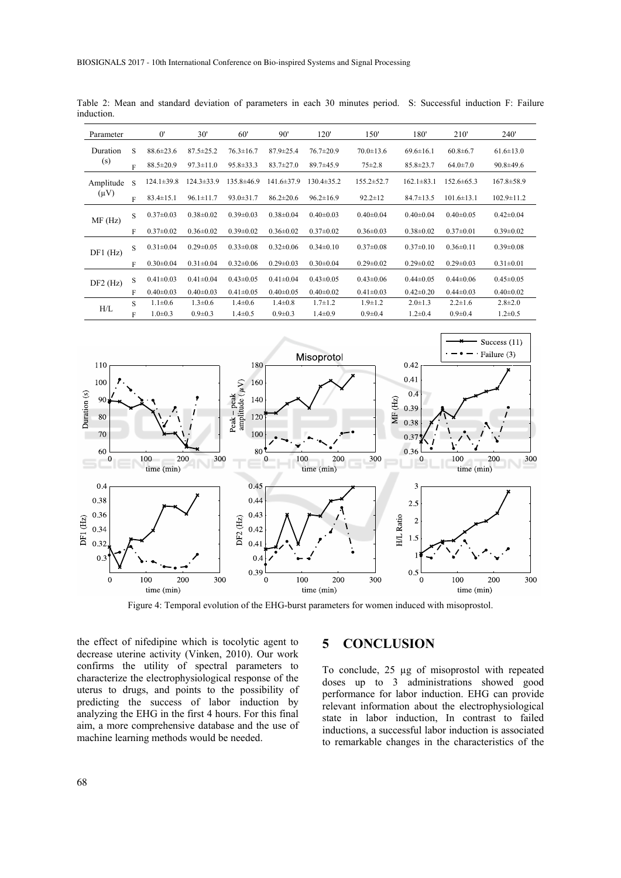| Parameter              |   | $0^{\prime}$     | 30'              | 60'              | 90'              | 120'             | 150'             | 180'             | 210'             | <b>240'</b>      |
|------------------------|---|------------------|------------------|------------------|------------------|------------------|------------------|------------------|------------------|------------------|
| Duration<br>(s)        | S | $88.6 \pm 23.6$  | $87.5 \pm 25.2$  | $76.3 \pm 16.7$  | $87.9 \pm 25.4$  | $76.7 \pm 20.9$  | $70.0 \pm 13.6$  | $69.6 \pm 16.1$  | $60.8 \pm 6.7$   | $61.6 \pm 13.0$  |
|                        | F | $88.5 \pm 20.9$  | $97.3 \pm 11.0$  | $95.8 \pm 33.3$  | $83.7 \pm 27.0$  | $89.7 \pm 45.9$  | $75 \pm 2.8$     | $85.8 \pm 23.7$  | $64.0 \pm 7.0$   | $90.8 \pm 49.6$  |
| Amplitude<br>$(\mu V)$ | S | $124.1 \pm 39.8$ | $124.3 \pm 33.9$ | $135.8 \pm 46.9$ | $141.6 \pm 37.9$ | $130.4 \pm 35.2$ | $155.2 \pm 52.7$ | $162.1 \pm 83.1$ | $152.6 \pm 65.3$ | $167.8 \pm 58.9$ |
|                        | F | $83.4 \pm 15.1$  | $96.1 \pm 11.7$  | $93.0 \pm 31.7$  | $86.2 \pm 20.6$  | $96.2 \pm 16.9$  | $92.2 \pm 12$    | $84.7 \pm 13.5$  | $101.6 \pm 13.1$ | $102.9 \pm 11.2$ |
| MF(Hz)                 | S | $0.37 \pm 0.03$  | $0.38 \pm 0.02$  | $0.39 \pm 0.03$  | $0.38 \pm 0.04$  | $0.40 \pm 0.03$  | $0.40 \pm 0.04$  | $0.40 \pm 0.04$  | $0.40 \pm 0.05$  | $0.42 \pm 0.04$  |
|                        | F | $0.37 \pm 0.02$  | $0.36 \pm 0.02$  | $0.39 \pm 0.02$  | $0.36 \pm 0.02$  | $0.37 \pm 0.02$  | $0.36 \pm 0.03$  | $0.38 \pm 0.02$  | $0.37 \pm 0.01$  | $0.39 \pm 0.02$  |
| $DF1$ (Hz)             | S | $0.31 \pm 0.04$  | $0.29 \pm 0.05$  | $0.33 \pm 0.08$  | $0.32 \pm 0.06$  | $0.34 \pm 0.10$  | $0.37 \pm 0.08$  | $0.37 \pm 0.10$  | $0.36 \pm 0.11$  | $0.39 \pm 0.08$  |
|                        | F | $0.30 \pm 0.04$  | $0.31 \pm 0.04$  | $0.32 \pm 0.06$  | $0.29 \pm 0.03$  | $0.30 \pm 0.04$  | $0.29 \pm 0.02$  | $0.29 \pm 0.02$  | $0.29 \pm 0.03$  | $0.31 \pm 0.01$  |
| $DF2$ (Hz)             | S | $0.41 \pm 0.03$  | $0.41 \pm 0.04$  | $0.43 \pm 0.05$  | $0.41 \pm 0.04$  | $0.43 \pm 0.05$  | $0.43 \pm 0.06$  | $0.44 \pm 0.05$  | $0.44 \pm 0.06$  | $0.45 \pm 0.05$  |
|                        | F | $0.40 \pm 0.03$  | $0.40 \pm 0.03$  | $0.41 \pm 0.05$  | $0.40 \pm 0.05$  | $0.40 \pm 0.02$  | $0.41 \pm 0.03$  | $0.42 \pm 0.20$  | $0.44 \pm 0.03$  | $0.40 \pm 0.02$  |
| H/L                    | S | $1.1 \pm 0.6$    | $1.3 \pm 0.6$    | $1.4 \pm 0.6$    | $1.4 \pm 0.8$    | $1.7 \pm 1.2$    | $1.9 \pm 1.2$    | $2.0 \pm 1.3$    | $2.2 \pm 1.6$    | $2.8 \pm 2.0$    |
|                        | F | $1.0 \pm 0.3$    | $0.9 \pm 0.3$    | $1.4\pm 0.5$     | $0.9 \pm 0.3$    | $1.4 \pm 0.9$    | $0.9 \pm 0.4$    | $1.2 \pm 0.4$    | $0.9 \pm 0.4$    | $1.2 \pm 0.5$    |

Table 2: Mean and standard deviation of parameters in each 30 minutes period. S: Successful induction F: Failure induction.



Figure 4: Temporal evolution of the EHG-burst parameters for women induced with misoprostol.

the effect of nifedipine which is tocolytic agent to decrease uterine activity (Vinken, 2010). Our work confirms the utility of spectral parameters to characterize the electrophysiological response of the uterus to drugs, and points to the possibility of predicting the success of labor induction by analyzing the EHG in the first 4 hours. For this final aim, a more comprehensive database and the use of machine learning methods would be needed.

## **5 CONCLUSION**

To conclude, 25 µg of misoprostol with repeated doses up to 3 administrations showed good performance for labor induction. EHG can provide relevant information about the electrophysiological state in labor induction, In contrast to failed inductions, a successful labor induction is associated to remarkable changes in the characteristics of the